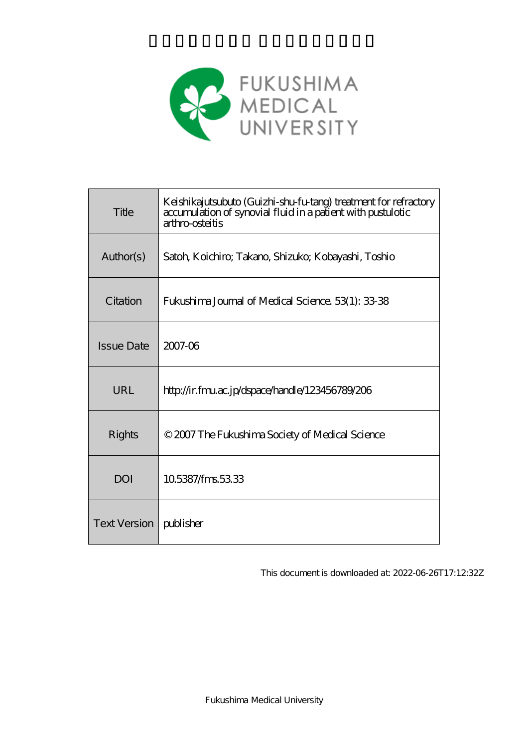

| Title             | Keishikajutsubuto (Guizhi-shu-fu-tang) treatment for refractory<br>accumulation of synovial fluid in a patient with pustulotic<br>arthro-osteitis |
|-------------------|---------------------------------------------------------------------------------------------------------------------------------------------------|
| Author(s)         | Satoh, Koichiro; Takano, Shizuko; Kobayashi, Toshio                                                                                               |
| Citation          | Fukushima Journal of Medical Science. 53(1): 33-38                                                                                                |
| <b>Issue Date</b> | 2007-06                                                                                                                                           |
| URL               | http://ir.fmu.ac.jp/dspace/handle/123456789/206                                                                                                   |
| Rights            | © 2007 The Fukushima Society of Medical Science                                                                                                   |
| <b>DOI</b>        | 105387/fms5333                                                                                                                                    |
| Text Version      | publisher                                                                                                                                         |

This document is downloaded at: 2022-06-26T17:12:32Z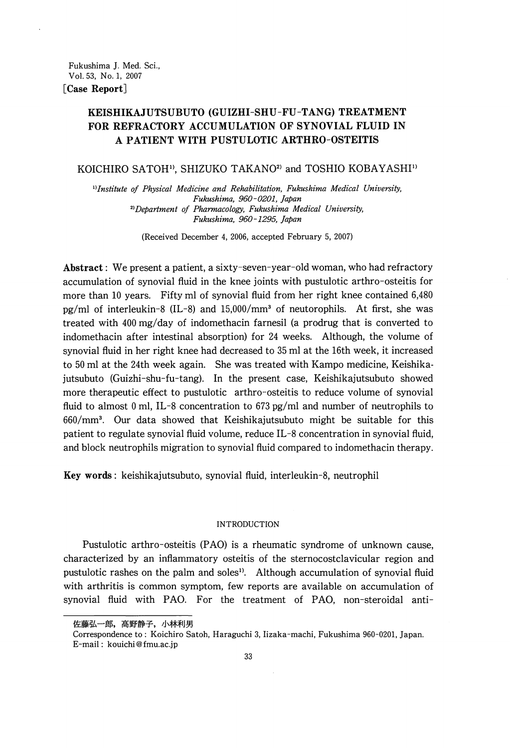# KEISHIKAJUTSUBUTO (GUIZHI-SHU-FU-TANG) TREATMENT FOR REFRACTORY ACCUMULATION OF SYNOVIAL FLUID IN A PATIENT WITH PUSTULOTIC ARTHRO-OSTEITIS

## KOICHIRO SATOH<sup>1)</sup>, SHIZUKO TAKANO<sup>2)</sup> and TOSHIO KOBAYASHI<sup>1)</sup>

<sup>1)</sup>Institute of Physical Medicine and Rehabilitation, Fukushima Medical University, *Fukushima, 960-0201, Japan*  <sup>2)</sup> Department of Pharmacology, Fukushima Medical University, *Fukushima, 960-1295, Japan* 

(Received December 4, 2006, accepted February 5, 2007)

Abstract: We present a patient, a sixty-seven-year-old woman, who had refractory accumulation of synovial fluid in the knee joints with pustulotic arthro-osteitis for more than 10 years. Fifty ml of synovial fluid from her right knee contained 6,4S0  $pg/ml$  of interleukin-8 (IL-8) and 15,000/mm<sup>3</sup> of neutorophils. At first, she was treated with 400 mg/day of indomethacin farnesil (a prodrug that is converted to indomethacin after intestinal absorption) for 24 weeks. Although, the volume of synovial fluid in her right knee had decreased to 35 ml at the 16th week, it increased to 50 ml at the 24th week again. She was treated with Kampo medicine, Keishikajutsubuto (Guizhi-shu-fu-tang). In the present case, Keishikajutsubuto showed more therapeutic effect to pustulotic arthro-osteitis to reduce volume of synovial fluid to almost 0 ml, IL-8 concentration to 673 pg/ml and number of neutrophils to 660/mm3. Our data showed that Keishikajutsubuto might be suitable for this patient to regulate synovial fluid volume, reduce IL-8 concentration in synovial fluid, and block neutrophils migration to synovial fluid compared to indomethacin therapy.

Key words: keishikajutsubuto, synovial fluid, interleukin-S, neutrophil

### INTRODUCTION

Pustulotic arthro-osteitis (PAO) is a rheumatic syndrome of unknown cause, characterized by an inflammatory osteitis of the sternocostclavicular region and pustulotic rashes on the palm and soles<sup>1)</sup>. Although accumulation of synovial fluid with arthritis is common symptom, few reports are available on accumulation of synovial fluid with PAO. For the treatment of PAO, non-steroidal anti-

佐藤弘一郎, 高野静子, 小林利男

Correspondence to: Koichiro Satoh, Haraguchi 3, Iizaka-machi, Fukushima 960-0201, Japan. E-mail: kouichi@fmu.ac.jp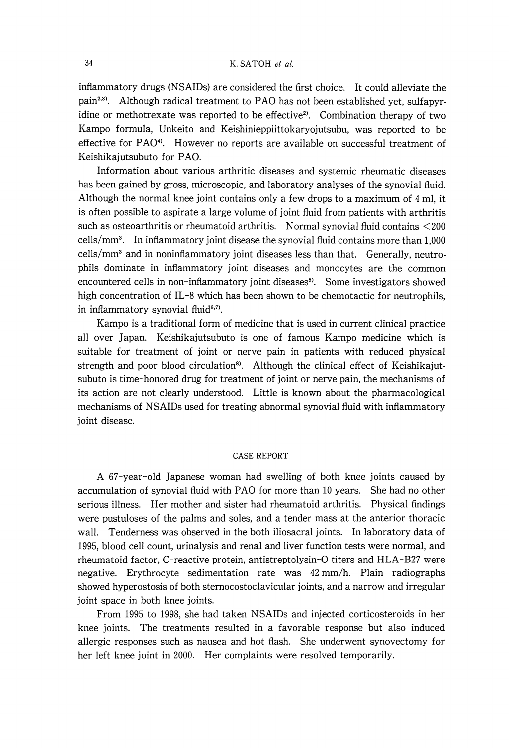### 34 K. SATOH *et at.*

inflammatory drugs (NSAIDs) are considered the first choice. It could alleviate the pain<sup>2,3)</sup>. Although radical treatment to PAO has not been established yet, sulfapyr· idine or methotrexate was reported to be effective<sup>2)</sup>. Combination therapy of two Kampo formula, Unkeito and Keishinieppiittokaryojutsubu, was reported to be effective for PAO<sup>4)</sup>. However no reports are available on successful treatment of Keishikajutsubuto for PAO.

Information about various arthritic diseases and systemic rheumatic diseases has been gained by gross, microscopic, and laboratory analyses of the synovial fluid. Although the normal knee joint contains only a few drops to a maximum of 4 ml, it is often possible to aspirate a large volume of joint fluid from patients with arthritis such as osteoarthritis or rheumatoid arthritis. Normal synovial fluid contains < 200 cells/mm<sup>3</sup>. In inflammatory joint disease the synovial fluid contains more than  $1,000$ cells/mm3 and in noninflammatory joint diseases less than that. Generally, neutrophils dominate in inflammatory joint diseases and monocytes are the common encountered cells in non-inflammatory joint diseases<sup>5)</sup>. Some investigators showed high concentration of IL-8 which has been shown to be chemotactic for neutrophils, in inflammatory synovial fluid<sup>6,7)</sup>.

Kampo is a traditional form of medicine that is used in current clinical practice all over Japan. Keishikajutsubuto is one of famous Kampo medicine which is suitable for treatment of joint or nerve pain in patients with reduced physical strength and poor blood circulation<sup>8)</sup>. Although the clinical effect of Keishikajutsubuto is time-honored drug for treatment of joint or nerve pain, the mechanisms of its action are not clearly understood. Little is known about the pharmacological mechanisms of NSAIDs used for treating abnormal synovial fluid with inflammatory joint disease.

### CASE REPORT

A 67-year-old Japanese woman had swelling of both knee joints caused by accumulation of synovial fluid with PAO for more than 10 years. She had no other serious illness. Her mother and sister had rheumatoid arthritis. Physical findings were pustuloses of the palms and soles, and a tender mass at the anterior thoracic wall. Tenderness was observed in the both iliosacral joints. In laboratory data of 1995, blood cell count, urinalysis and renal and liver function tests were normal, and rheumatoid factor, C-reactive protein, antistreptolysin-O titers and HLA-B27 were negative. Erythrocyte sedimentation rate was 42 mm/h. Plain radiographs showed hyperostosis of both sternocostoclavicular joints, and a narrow and irregular joint space in both knee joints.

From 1995 to 1998, she had taken NSAIDs and injected corticosteroids in her knee joints. The treatments resulted in a favorable response but also induced allergic responses such as nausea and hot flash. She underwent synovectomy for her left knee joint in 2000. Her complaints were resolved temporarily.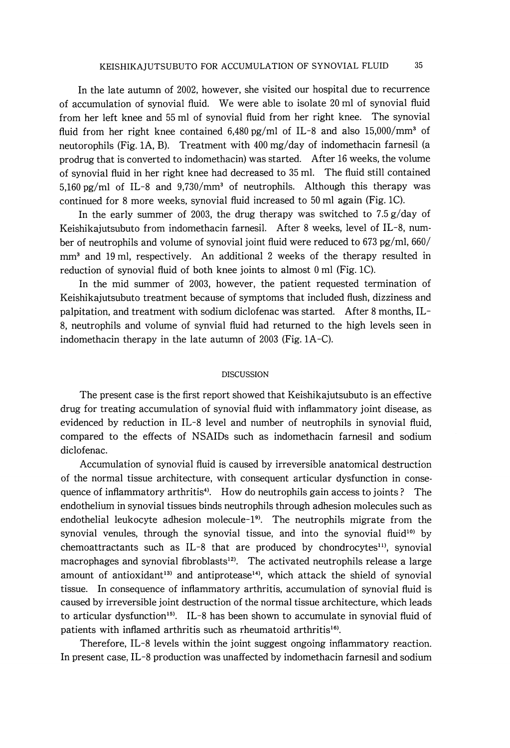In the late autumn of 2002, however, she visited our hospital due to recurrence of accumulation of synovial fluid. We were able to isolate 20 ml of synovial fluid from her left knee and 55 ml of synovial fluid from her right knee. The synovial fluid from her right knee contained 6,480 pg/ml of IL-8 and also 15,000/mm<sup>3</sup> of neutorophils (Fig. 1A, B). Treatment with 400 mg/day of indomethacin farnesil (a prodrug that is converted to indomethacin) was started. After 16 weeks, the volume of synovial fluid in her right knee had decreased to 35 ml. The fluid still contained 5,160 pg/ml of IL-8 and 9,730/mm<sup>3</sup> of neutrophils. Although this therapy was continued for 8 more weeks, synovial fluid increased to 50 ml again (Fig. lC).

In the early summer of 2003, the drug therapy was switched to 7.5 g/day of Keishikajutsubuto from indomethacin farnesil. After 8 weeks, level of IL-8, number of neutrophils and volume of synovial joint fluid were reduced to 673 pg/ml, 660/ mm<sup>3</sup> and 19 ml, respectively. An additional 2 weeks of the therapy resulted in reduction of synovial fluid of both knee joints to almost 0 ml (Fig. lC).

In the mid summer of 2003, however, the patient requested termination of Keishikajutsubuto treatment because of symptoms that included flush, dizziness and palpitation, and treatment with sodium diclofenac was started. After 8 months, IL-8, neutrophils and volume of synvial fluid had returned to the high levels seen in indomethacin therapy in the late autumn of 2003 (Fig. lA-C).

#### DISCUSSION

The present case is the first report showed that Keishikajutsubuto is an effective drug for treating accumulation of synovial fluid with inflammatory joint disease, as evidenced by reduction in IL-8 level and number of neutrophils in synovial fluid, compared to the effects of NSAIDs such as indomethacin farnesil and sodium diclofenac.

Accumulation of synovial fluid is caused by irreversible anatomical destruction of the normal tissue architecture, with consequent articular dysfunction in consequence of inflammatory arthritis<sup>4</sup>. How do neutrophils gain access to joints? The endothelium in synovial tissues binds neutrophils through adhesion molecules such as endothelial leukocyte adhesion molecule-19). The neutrophils migrate from the synovial venules, through the synovial tissue, and into the synovial fluid<sup>10</sup> by chemoattractants such as IL-8 that are produced by chondrocytes<sup>11</sup>, synovial macrophages and synovial fibroblasts<sup>12)</sup>. The activated neutrophils release a large amount of antioxidant<sup>13)</sup> and antiprotease<sup>14</sup>), which attack the shield of synovial tissue. In consequence of inflammatory arthritis, accumulation of synovial fluid is caused by irreversible joint destruction of the normal tissue architecture, which leads to articular dysfunction<sup>15)</sup>. IL-8 has been shown to accumulate in synovial fluid of patients with inflamed arthritis such as rheumatoid arthritis<sup>16)</sup>.

Therefore, IL-8 levels within the joint suggest ongoing inflammatory reaction. In present case, IL-8 production was unaffected by indomethacin farnesil and sodium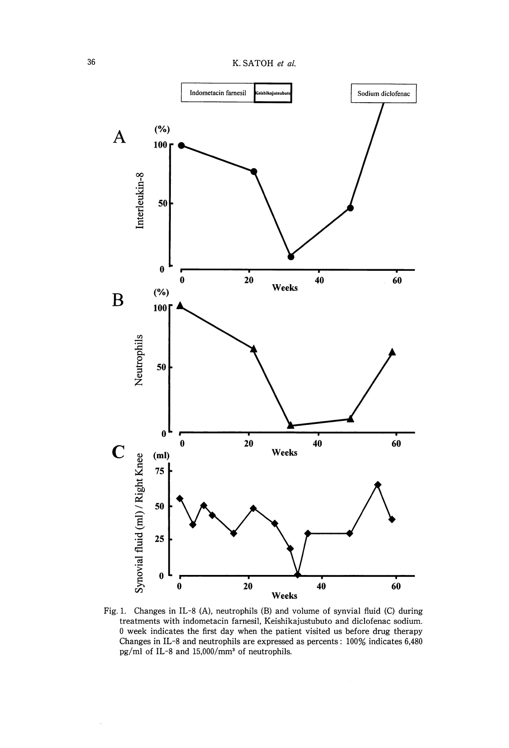

Fig. 1. Changes in IL-8 (A), neutrophils (B) and volume of synvial fluid (C) during treatments with indometacin farnesil, Keishikajustubuto and diclofenac sodium. o week indicates the first day when the patient visited us before drug therapy Changes in IL-8 and neutrophils are expressed as percents: 100% indicates 6,480 pg/ml of IL-8 and 15,000/mm' of neutrophils.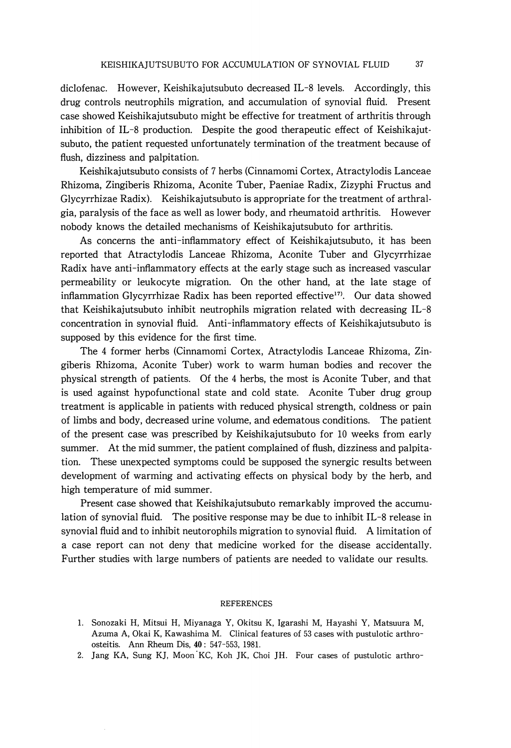diclofenac. However, Keishikajutsubuto decreased IL-8 levels. Accordingly, this drug controls neutrophils migration, and accumulation of synovial fluid. Present case showed Keishikajutsubuto might be effective for treatment of arthritis through inhibition of IL-8 production. Despite the good therapeutic effect of Keishikajutsubuto, the patient requested unfortunately termination of the treatment because of flush, dizziness and palpitation.

Keishikajutsubuto consists of 7 herbs (Cinnamomi Cortex, Atractylodis Lanceae Rhizoma, Zingiberis Rhizoma, Aconite Tuber, Paeniae Radix, Zizyphi Fructus and Glycyrrhizae Radix). Keishikajutsubuto is appropriate for the treatment of arthralgia, paralysis of the face as well as lower body, and rheumatoid arthritis. However nobody knows the detailed mechanisms of Keishikajutsubuto for arthritis.

As concerns the anti-inflammatory effect of Keishikajutsubuto, it has been reported that Atractylodis Lanceae Rhizoma, Aconite Tuber and Glycyrrhizae Radix have anti-inflammatory effects at the early stage such as increased vascular permeability or leukocyte migration. On the other hand, at the late stage of inflammation Glycyrrhizae Radix has been reported effective<sup>17)</sup>. Our data showed that Keishikajutsubuto inhibit neutrophils migration related with decreasing IL-8 concentration in synovial fluid. Anti-inflammatory effects of Keishikajutsubuto is supposed by this evidence for the first time.

The 4 former herbs (Cinnamomi Cortex, Atractylodis Lanceae Rhizoma, Zingiberis Rhizoma, Aconite Tuber) work to warm human bodies and recover the physical strength of patients. Of the 4 herbs, the most is Aconite Tuber, and that is used against hypofunctional state and cold state. Aconite Tuber drug group treatment is applicable in patients with reduced physical strength, coldness or pain of limbs and body, decreased urine volume, and edematous conditions. The patient of the present case was prescribed by Keishikajutsubuto for 10 weeks from early summer. At the mid summer, the patient complained of flush, dizziness and palpita· tion. These unexpected symptoms could be supposed the synergic results between development of warming and activating effects on physical body by the herb, and high temperature of mid summer.

Present case showed that Keishikajutsubuto remarkably improved the accumulation of synovial fluid. The positive response may be due to inhibit IL-8 release in synovial fluid and to inhibit neutorophils migration to synovial fluid. A limitation of a case report can not deny that medicine worked for the disease accidentally. Further studies with large numbers of patients are needed to validate our results.

### REFERENCES

- 1. Sonozaki H, Mitsui H, Miyanaga Y, Okitsu K, Igarashi M, Hayashi Y, Matsuura M, Azuma A, Okai K, Kawashima M. Clinical features of 53 cases with pustulotic arthroosteitis. Ann Rheum Dis, **40:** 547-553, 1981.
- 2. Jang KA, Sung K], Moon 'KC, Koh JK, Choi JH. Four cases of pustulotic arthro-